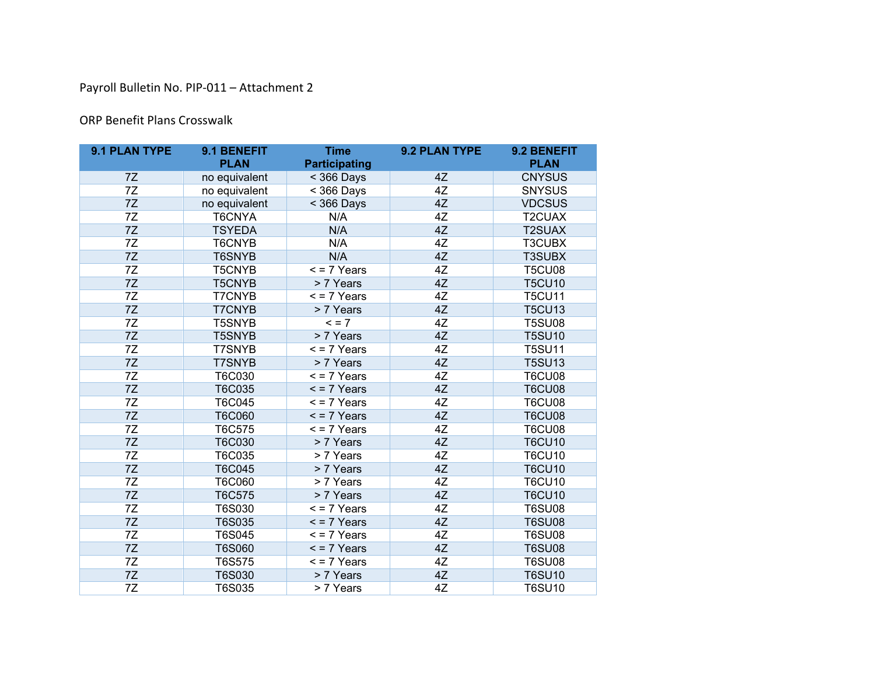## Payroll Bulletin No. PIP-011 – Attachment 2

## ORP Benefit Plans Crosswalk

| 9.1 PLAN TYPE | 9.1 BENEFIT   | <b>Time</b>              | 9.2 PLAN TYPE | 9.2 BENEFIT   |
|---------------|---------------|--------------------------|---------------|---------------|
|               | <b>PLAN</b>   | <b>Participating</b>     |               | <b>PLAN</b>   |
| 7Z            | no equivalent | $<$ 366 Days             | 4Z            | <b>CNYSUS</b> |
| 7Z            | no equivalent | $<$ 366 Days             | 4Z            | <b>SNYSUS</b> |
| 7Z            | no equivalent | $<$ 366 Days             | 4Z            | <b>VDCSUS</b> |
| 7Z            | T6CNYA        | N/A                      | 4Z            | T2CUAX        |
| 7Z            | <b>TSYEDA</b> | N/A                      | 4Z            | <b>T2SUAX</b> |
| 7Z            | T6CNYB        | N/A                      | 4Z            | T3CUBX        |
| 7Z            | <b>T6SNYB</b> | N/A                      | 4Z            | <b>T3SUBX</b> |
| 7Z            | <b>T5CNYB</b> | $\overline{5}$ = 7 Years | 4Z            | <b>T5CU08</b> |
| 7Z            | <b>T5CNYB</b> | > 7 Years                | 4Z            | <b>T5CU10</b> |
| 7Z            | <b>T7CNYB</b> | $<$ = 7 Years            | 4Z            | <b>T5CU11</b> |
| 7Z            | <b>T7CNYB</b> | > 7 Years                | 4Z            | <b>T5CU13</b> |
| 7Z            | <b>T5SNYB</b> | $= 7$                    | 4Z            | <b>T5SU08</b> |
| 7Z            | <b>T5SNYB</b> | > 7 Years                | 4Z            | <b>T5SU10</b> |
| 7Z            | <b>T7SNYB</b> | $<$ = 7 Years            | 4Z            | <b>T5SU11</b> |
| 7Z            | <b>T7SNYB</b> | > 7 Years                | 4Z            | <b>T5SU13</b> |
| 7Z            | T6C030        | $\overline{5}$ = 7 Years | 4Z            | <b>T6CU08</b> |
| 7Z            | T6C035        | $\leq$ = 7 Years         | 4Z            | <b>T6CU08</b> |
| 7Z            | T6C045        | $\leq$ = 7 Years         | 4Z            | <b>T6CU08</b> |
| 7Z            | <b>T6C060</b> | $\leq$ = 7 Years         | 4Z            | <b>T6CU08</b> |
| 7Z            | T6C575        | $\overline{5}$ = 7 Years | 4Z            | <b>T6CU08</b> |
| 7Z            | <b>T6C030</b> | > 7 Years                | 4Z            | <b>T6CU10</b> |
| 7Z            | T6C035        | > 7 Years                | 4Z            | <b>T6CU10</b> |
| 7Z            | <b>T6C045</b> | > 7 Years                | 4Z            | <b>T6CU10</b> |
| 7Z            | <b>T6C060</b> | > 7 Years                | 4Z            | <b>T6CU10</b> |
| 7Z            | T6C575        | > 7 Years                | 4Z            | <b>T6CU10</b> |
| 7Z            | T6S030        | $\overline{5}$ = 7 Years | 4Z            | <b>T6SU08</b> |
| 7Z            | <b>T6S035</b> | $\leq$ = 7 Years         | 4Z            | <b>T6SU08</b> |
| 7Z            | T6S045        | $\leq$ = 7 Years         | 4Z            | <b>T6SU08</b> |
| 7Z            | <b>T6S060</b> | $\leq$ = 7 Years         | 4Z            | <b>T6SU08</b> |
| 7Z            | T6S575        | $\leq$ = 7 Years         | 4Z            | <b>T6SU08</b> |
| 7Z            | T6S030        | > 7 Years                | 4Z            | <b>T6SU10</b> |
| 7Z            | <b>T6S035</b> | > 7 Years                | 4Z            | <b>T6SU10</b> |